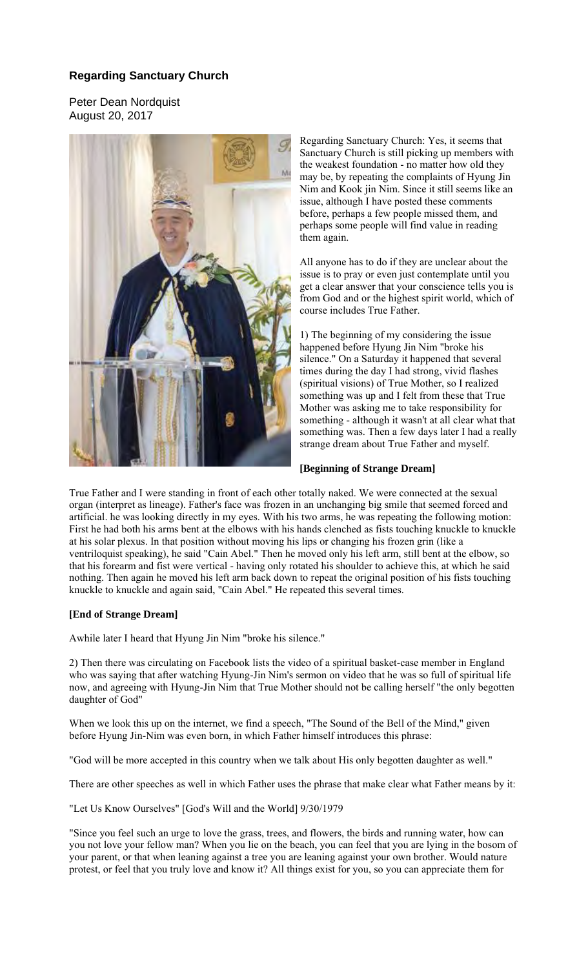## **Regarding Sanctuary Church**

Peter Dean Nordquist August 20, 2017



Regarding Sanctuary Church: Yes, it seems that Sanctuary Church is still picking up members with the weakest foundation - no matter how old they may be, by repeating the complaints of Hyung Jin Nim and Kook jin Nim. Since it still seems like an issue, although I have posted these comments before, perhaps a few people missed them, and perhaps some people will find value in reading them again.

All anyone has to do if they are unclear about the issue is to pray or even just contemplate until you get a clear answer that your conscience tells you is from God and or the highest spirit world, which of course includes True Father.

1) The beginning of my considering the issue happened before Hyung Jin Nim "broke his silence." On a Saturday it happened that several times during the day I had strong, vivid flashes (spiritual visions) of True Mother, so I realized something was up and I felt from these that True Mother was asking me to take responsibility for something - although it wasn't at all clear what that something was. Then a few days later I had a really strange dream about True Father and myself.

## **[Beginning of Strange Dream]**

True Father and I were standing in front of each other totally naked. We were connected at the sexual organ (interpret as lineage). Father's face was frozen in an unchanging big smile that seemed forced and artificial. he was looking directly in my eyes. With his two arms, he was repeating the following motion: First he had both his arms bent at the elbows with his hands clenched as fists touching knuckle to knuckle at his solar plexus. In that position without moving his lips or changing his frozen grin (like a ventriloquist speaking), he said "Cain Abel." Then he moved only his left arm, still bent at the elbow, so that his forearm and fist were vertical - having only rotated his shoulder to achieve this, at which he said nothing. Then again he moved his left arm back down to repeat the original position of his fists touching knuckle to knuckle and again said, "Cain Abel." He repeated this several times.

## **[End of Strange Dream]**

Awhile later I heard that Hyung Jin Nim "broke his silence."

2) Then there was circulating on Facebook lists the video of a spiritual basket-case member in England who was saying that after watching Hyung-Jin Nim's sermon on video that he was so full of spiritual life now, and agreeing with Hyung-Jin Nim that True Mother should not be calling herself "the only begotten daughter of God"

When we look this up on the internet, we find a speech, "The Sound of the Bell of the Mind," given before Hyung Jin-Nim was even born, in which Father himself introduces this phrase:

"God will be more accepted in this country when we talk about His only begotten daughter as well."

There are other speeches as well in which Father uses the phrase that make clear what Father means by it:

"Let Us Know Ourselves" [God's Will and the World] 9/30/1979

"Since you feel such an urge to love the grass, trees, and flowers, the birds and running water, how can you not love your fellow man? When you lie on the beach, you can feel that you are lying in the bosom of your parent, or that when leaning against a tree you are leaning against your own brother. Would nature protest, or feel that you truly love and know it? All things exist for you, so you can appreciate them for